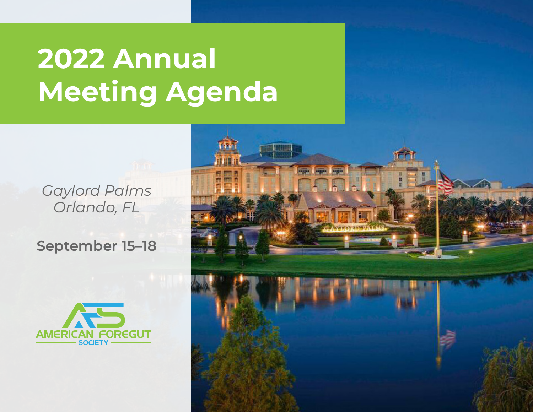### *Gaylord Palms Orlando, FL*

### **September 15–18**



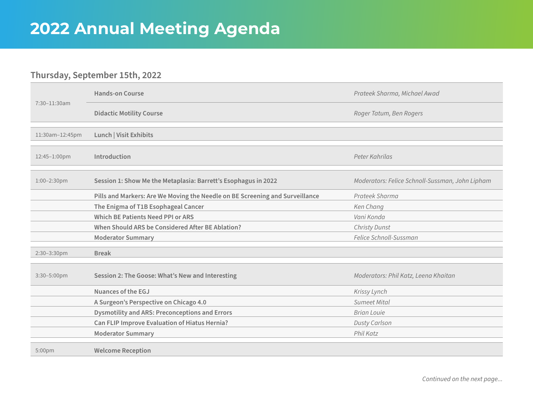### **Thursday, September 15th, 2022**

| 7:30-11:30am    | <b>Hands-on Course</b>                                                       | Prateek Sharma, Michael Awad                    |
|-----------------|------------------------------------------------------------------------------|-------------------------------------------------|
|                 | <b>Didactic Motility Course</b>                                              | Roger Tatum, Ben Rogers                         |
| 11:30am-12:45pm | Lunch   Visit Exhibits                                                       |                                                 |
| 12:45-1:00pm    | Introduction                                                                 | Peter Kahrilas                                  |
| 1:00-2:30pm     | Session 1: Show Me the Metaplasia: Barrett's Esophagus in 2022               | Moderators: Felice Schnoll-Sussman, John Lipham |
|                 | Pills and Markers: Are We Moving the Needle on BE Screening and Surveillance | Prateek Sharma                                  |
|                 | The Enigma of T1B Esophageal Cancer                                          | Ken Chang                                       |
|                 | <b>Which BE Patients Need PPI or ARS</b>                                     | Vani Konda                                      |
|                 | When Should ARS be Considered After BE Ablation?                             | Christy Dunst                                   |
|                 | <b>Moderator Summary</b>                                                     | Felice Schnoll-Sussman                          |
| 2:30-3:30pm     | <b>Break</b>                                                                 |                                                 |
| 3:30-5:00pm     | Session 2: The Goose: What's New and Interesting                             | Moderators: Phil Katz, Leena Khaitan            |
|                 | <b>Nuances of the EGJ</b>                                                    | Krissy Lynch                                    |
|                 | A Surgeon's Perspective on Chicago 4.0                                       | Sumeet Mital                                    |
|                 | <b>Dysmotility and ARS: Preconceptions and Errors</b>                        | <b>Brian Louie</b>                              |
|                 | Can FLIP Improve Evaluation of Hiatus Hernia?                                | <b>Dusty Carlson</b>                            |
|                 | <b>Moderator Summary</b>                                                     | Phil Katz                                       |
| 5:00pm          | <b>Welcome Reception</b>                                                     |                                                 |

*Continued on the next page...*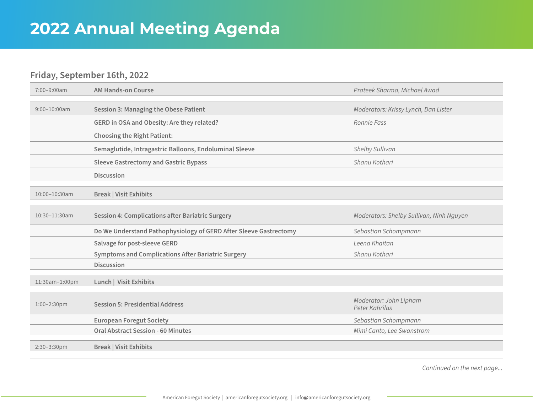#### **Friday, September 16th, 2022**

| 7:00-9:00am       | <b>AM Hands-on Course</b>                                         | Prateek Sharma, Michael Awad             |
|-------------------|-------------------------------------------------------------------|------------------------------------------|
|                   |                                                                   |                                          |
| $9:00 - 10:00$ am | <b>Session 3: Managing the Obese Patient</b>                      | Moderators: Krissy Lynch, Dan Lister     |
|                   | GERD in OSA and Obesity: Are they related?                        | Ronnie Fass                              |
|                   | <b>Choosing the Right Patient:</b>                                |                                          |
|                   | Semaglutide, Intragastric Balloons, Endoluminal Sleeve            | Shelby Sullivan                          |
|                   | <b>Sleeve Gastrectomy and Gastric Bypass</b>                      | Shanu Kothari                            |
|                   | <b>Discussion</b>                                                 |                                          |
| 10:00-10:30am     | <b>Break   Visit Exhibits</b>                                     |                                          |
|                   |                                                                   |                                          |
| 10:30-11:30am     | <b>Session 4: Complications after Bariatric Surgery</b>           | Moderators: Shelby Sullivan, Ninh Nguyen |
|                   | Do We Understand Pathophysiology of GERD After Sleeve Gastrectomy | Sebastian Schompmann                     |
|                   | Salvage for post-sleeve GERD                                      | Leena Khaitan                            |
|                   | <b>Symptoms and Complications After Bariatric Surgery</b>         | Shanu Kothari                            |
|                   | <b>Discussion</b>                                                 |                                          |
|                   |                                                                   |                                          |
| 11:30am-1:00pm    | Lunch   Visit Exhibits                                            |                                          |
|                   |                                                                   |                                          |
| 1:00-2:30pm       | <b>Session 5: Presidential Address</b>                            | Moderator: John Lipham<br>Peter Kahrilas |
|                   | <b>European Foregut Society</b>                                   | Sebastian Schompmann                     |
|                   | <b>Oral Abstract Session - 60 Minutes</b>                         | Mimi Canto, Lee Swanstrom                |
| 2:30-3:30pm       | <b>Break   Visit Exhibits</b>                                     |                                          |
|                   |                                                                   |                                          |

*Continued on the next page...*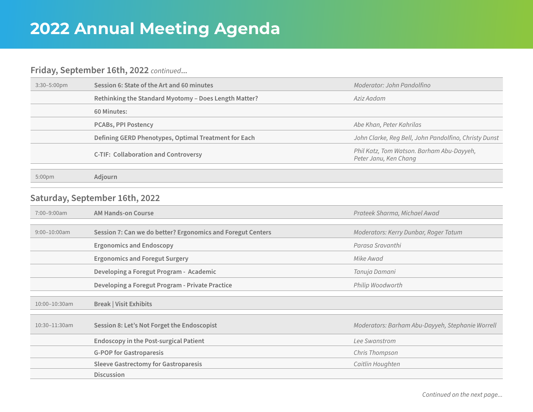### **Friday, September 16th, 2022** *continued***...**

| $3:30 - 5:00 \text{pm}$ | Session 6: State of the Art and 60 minutes            | Moderator: John Pandolfino                                         |
|-------------------------|-------------------------------------------------------|--------------------------------------------------------------------|
|                         | Rethinking the Standard Myotomy - Does Length Matter? | Aziz Aadam                                                         |
|                         | 60 Minutes:                                           |                                                                    |
|                         | <b>PCABs, PPI Postency</b>                            | Abe Khan, Peter Kahrilas                                           |
|                         | Defining GERD Phenotypes, Optimal Treatment for Each  | John Clarke, Reg Bell, John Pandolfino, Christy Dunst              |
|                         | <b>C-TIF: Collaboration and Controversy</b>           | Phil Katz, Tom Watson. Barham Abu-Dayyeh,<br>Peter Janu, Ken Chang |
| 5:00 <sub>pm</sub>      | Adiourn                                               |                                                                    |

### **Saturday, September 16th, 2022**

| 7:00-9:00am        | <b>AM Hands-on Course</b>                                   | Prateek Sharma, Michael Awad                     |
|--------------------|-------------------------------------------------------------|--------------------------------------------------|
|                    |                                                             |                                                  |
| $9:00 - 10:00$ am  | Session 7: Can we do better? Ergonomics and Foregut Centers | Moderators: Kerry Dunbar, Roger Tatum            |
|                    | <b>Ergonomics and Endoscopy</b>                             | Parasa Sravanthi                                 |
|                    | <b>Ergonomics and Foregut Surgery</b>                       | Mike Awad                                        |
|                    | Developing a Foregut Program - Academic                     | Tanuja Damani                                    |
|                    | Developing a Foregut Program - Private Practice             | Philip Woodworth                                 |
|                    |                                                             |                                                  |
| 10:00-10:30am      | <b>Break   Visit Exhibits</b>                               |                                                  |
|                    |                                                             |                                                  |
| $10:30 - 11:30$ am | Session 8: Let's Not Forget the Endoscopist                 | Moderators: Barham Abu-Dayyeh, Stephanie Worrell |
|                    | <b>Endoscopy in the Post-surgical Patient</b>               | Lee Swanstrom                                    |
|                    | <b>G-POP for Gastroparesis</b>                              | Chris Thompson                                   |
|                    | <b>Sleeve Gastrectomy for Gastroparesis</b>                 | Caitlin Houghten                                 |
|                    | <b>Discussion</b>                                           |                                                  |